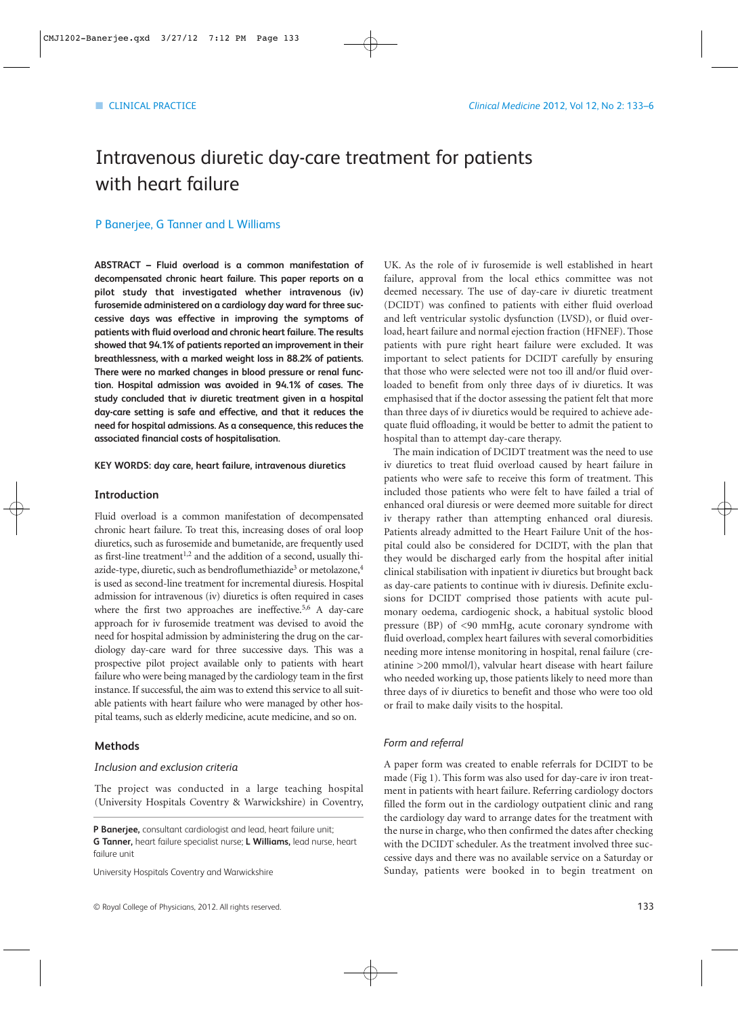# Intravenous diuretic day-care treatment for patients with heart failure

# P Banerjee, G Tanner and L Williams

**ABSTRACT – Fluid overload is a common manifestation of decompensated chronic heart failure. This paper reports on a pilot study that investigated whether intravenous (iv) furosemide administered on a cardiology day ward for three successive days was effective in improving the symptoms of patients with fluid overload and chronic heart failure. The results showed that 94.1% of patients reported an improvement in their breathlessness, with a marked weight loss in 88.2% of patients. There were no marked changes in blood pressure or renal function. Hospital admission was avoided in 94.1% of cases. The study concluded that iv diuretic treatment given in a hospital day-care setting is safe and effective, and that it reduces the need for hospital admissions. As a consequence, this reduces the associated financial costs of hospitalisation.**

**KEY WORDS: day care, heart failure, intravenous diuretics**

## **Introduction**

Fluid overload is a common manifestation of decompensated chronic heart failure. To treat this, increasing doses of oral loop diuretics, such as furosemide and bumetanide, are frequently used as first-line treatment<sup>1,2</sup> and the addition of a second, usually thiazide-type, diuretic, such as bendroflumethiazide<sup>3</sup> or metolazone, $4$ is used as second-line treatment for incremental diuresis. Hospital admission for intravenous (iv) diuretics is often required in cases where the first two approaches are ineffective.<sup>5,6</sup> A day-care approach for iv furosemide treatment was devised to avoid the need for hospital admission by administering the drug on the cardiology day-care ward for three successive days. This was a prospective pilot project available only to patients with heart failure who were being managed by the cardiology team in the first instance. If successful, the aim was to extend this service to all suitable patients with heart failure who were managed by other hospital teams, such as elderly medicine, acute medicine, and so on.

#### **Methods**

# *Inclusion and exclusion criteria*

The project was conducted in a large teaching hospital (University Hospitals Coventry & Warwickshire) in Coventry,

University Hospitals Coventry and Warwickshire

UK. As the role of iv furosemide is well established in heart failure, approval from the local ethics committee was not deemed necessary. The use of day-care iv diuretic treatment (DCIDT) was confined to patients with either fluid overload and left ventricular systolic dysfunction (LVSD), or fluid overload, heart failure and normal ejection fraction (HFNEF). Those patients with pure right heart failure were excluded. It was important to select patients for DCIDT carefully by ensuring that those who were selected were not too ill and/or fluid overloaded to benefit from only three days of iv diuretics. It was emphasised that if the doctor assessing the patient felt that more than three days of iv diuretics would be required to achieve adequate fluid offloading, it would be better to admit the patient to hospital than to attempt day-care therapy.

The main indication of DCIDT treatment was the need to use iv diuretics to treat fluid overload caused by heart failure in patients who were safe to receive this form of treatment. This included those patients who were felt to have failed a trial of enhanced oral diuresis or were deemed more suitable for direct iv therapy rather than attempting enhanced oral diuresis. Patients already admitted to the Heart Failure Unit of the hospital could also be considered for DCIDT, with the plan that they would be discharged early from the hospital after initial clinical stabilisation with inpatient iv diuretics but brought back as day-care patients to continue with iv diuresis. Definite exclusions for DCIDT comprised those patients with acute pulmonary oedema, cardiogenic shock, a habitual systolic blood pressure (BP) of <90 mmHg, acute coronary syndrome with fluid overload, complex heart failures with several comorbidities needing more intense monitoring in hospital, renal failure (creatinine >200 mmol/l), valvular heart disease with heart failure who needed working up, those patients likely to need more than three days of iv diuretics to benefit and those who were too old or frail to make daily visits to the hospital.

#### *Form and referral*

A paper form was created to enable referrals for DCIDT to be made (Fig 1). This form was also used for day-care iv iron treatment in patients with heart failure. Referring cardiology doctors filled the form out in the cardiology outpatient clinic and rang the cardiology day ward to arrange dates for the treatment with the nurse in charge, who then confirmed the dates after checking with the DCIDT scheduler. As the treatment involved three successive days and there was no available service on a Saturday or Sunday, patients were booked in to begin treatment on

**P Banerjee,** consultant cardiologist and lead, heart failure unit; **G Tanner,** heart failure specialist nurse; **L Williams,** lead nurse, heart failure unit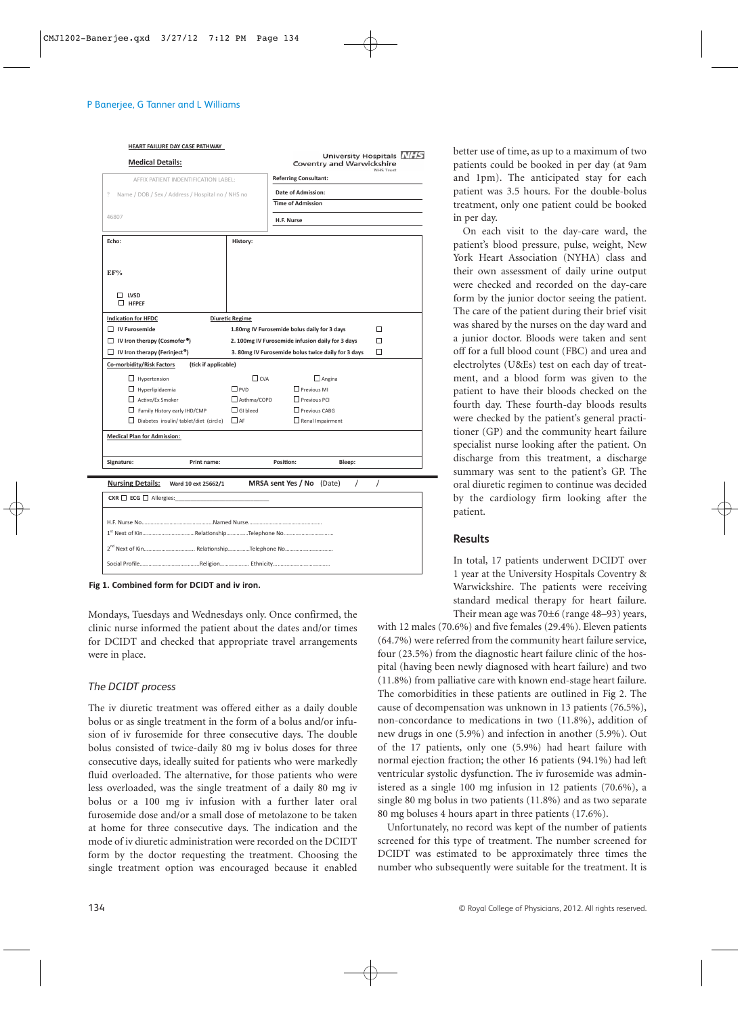| HEART FAILURE DAY CASE PATHWAY                                  |                                                                       |                                                                                              |  |
|-----------------------------------------------------------------|-----------------------------------------------------------------------|----------------------------------------------------------------------------------------------|--|
| <b>Medical Details:</b><br>AFFIX PATIENT INDENTIFICATION LABEL: |                                                                       | University Hospitals NES<br><b>Coventry and Warwickshire</b><br><b>Referring Consultant:</b> |  |
|                                                                 |                                                                       |                                                                                              |  |
|                                                                 |                                                                       | <b>Time of Admission</b>                                                                     |  |
| 46807                                                           |                                                                       | H.F. Nurse                                                                                   |  |
| Echo:                                                           | History:                                                              |                                                                                              |  |
| EF%                                                             |                                                                       |                                                                                              |  |
| $\Box$ LVSD<br>$\Box$ HFPEF                                     |                                                                       |                                                                                              |  |
| <b>Indication for HFDC</b><br>$\Box$ IV Furosemide              | <b>Diuretic Regime</b><br>1.80mg IV Furosemide bolus daily for 3 days | п                                                                                            |  |
| $\Box$ IV Iron therapy (Cosmofer <sup>®</sup> )                 |                                                                       | п<br>2. 100mg IV Furosemide infusion daily for 3 days                                        |  |
| $\Box$ IV Iron therapy (Ferinject <sup>®</sup> )                |                                                                       | п<br>3. 80mg IV Furosemide bolus twice daily for 3 days                                      |  |
| <b>Co-morbidity/Risk Factors</b><br>(tick if applicable)        |                                                                       |                                                                                              |  |
| $\Box$ Hypertension                                             | $\Box$ CVA                                                            | $\Box$ Angina                                                                                |  |
| $\Box$ Hyperlipidaemia                                          | $\n  Q PVD$                                                           | $\Box$ Previous MI                                                                           |  |
| Active/Ex Smoker                                                | Asthma/COPD                                                           | $\Box$ Previous PCI                                                                          |  |
| Family History early IHD/CMP                                    | $\Box$ GI bleed                                                       | Previous CABG                                                                                |  |
| $\Box$ AF<br>$\Box$ Diabetes insulin/ tablet/diet (circle)      |                                                                       | $\Box$ Renal Impairment                                                                      |  |
| <b>Medical Plan for Admission:</b>                              |                                                                       |                                                                                              |  |
| Signature:<br>Print name:                                       | Position:                                                             | Bleep:                                                                                       |  |
| <b>Nursing Details:</b><br>Ward 10 ext 25662/1                  |                                                                       | MRSA sent Yes / No (Date)<br>$\prime$<br>7                                                   |  |
| $CXR \ \Box \ \ ECG \ \Box \ \$ Allergies:                      |                                                                       |                                                                                              |  |
|                                                                 |                                                                       |                                                                                              |  |
|                                                                 |                                                                       |                                                                                              |  |
|                                                                 |                                                                       |                                                                                              |  |
|                                                                 |                                                                       |                                                                                              |  |

**Fig 1. Combined form for DCIDT and iv iron.**

Mondays, Tuesdays and Wednesdays only. Once confirmed, the clinic nurse informed the patient about the dates and/or times for DCIDT and checked that appropriate travel arrangements were in place.

#### *The DCIDT process*

The iv diuretic treatment was offered either as a daily double bolus or as single treatment in the form of a bolus and/or infusion of iv furosemide for three consecutive days. The double bolus consisted of twice-daily 80 mg iv bolus doses for three consecutive days, ideally suited for patients who were markedly fluid overloaded. The alternative, for those patients who were less overloaded, was the single treatment of a daily 80 mg iv bolus or a 100 mg iv infusion with a further later oral furosemide dose and/or a small dose of metolazone to be taken at home for three consecutive days. The indication and the mode of iv diuretic administration were recorded on the DCIDT form by the doctor requesting the treatment. Choosing the single treatment option was encouraged because it enabled

On each visit to the day-care ward, the patient's blood pressure, pulse, weight, New York Heart Association (NYHA) class and their own assessment of daily urine output were checked and recorded on the day-care form by the junior doctor seeing the patient. The care of the patient during their brief visit was shared by the nurses on the day ward and a junior doctor. Bloods were taken and sent off for a full blood count (FBC) and urea and electrolytes (U&Es) test on each day of treatment, and a blood form was given to the patient to have their bloods checked on the fourth day. These fourth-day bloods results were checked by the patient's general practitioner (GP) and the community heart failure specialist nurse looking after the patient. On discharge from this treatment, a discharge summary was sent to the patient's GP. The oral diuretic regimen to continue was decided by the cardiology firm looking after the patient.

## **Results**

In total, 17 patients underwent DCIDT over 1 year at the University Hospitals Coventry & Warwickshire. The patients were receiving standard medical therapy for heart failure. Their mean age was 70±6 (range 48–93) years,

with 12 males (70.6%) and five females (29.4%). Eleven patients (64.7%) were referred from the community heart failure service, four (23.5%) from the diagnostic heart failure clinic of the hospital (having been newly diagnosed with heart failure) and two (11.8%) from palliative care with known end-stage heart failure. The comorbidities in these patients are outlined in Fig 2. The cause of decompensation was unknown in 13 patients (76.5%), non-concordance to medications in two (11.8%), addition of new drugs in one (5.9%) and infection in another (5.9%). Out of the 17 patients, only one (5.9%) had heart failure with normal ejection fraction; the other 16 patients (94.1%) had left ventricular systolic dysfunction. The iv furosemide was administered as a single 100 mg infusion in 12 patients (70.6%), a single 80 mg bolus in two patients (11.8%) and as two separate 80 mg boluses 4 hours apart in three patients (17.6%).

Unfortunately, no record was kept of the number of patients screened for this type of treatment. The number screened for DCIDT was estimated to be approximately three times the number who subsequently were suitable for the treatment. It is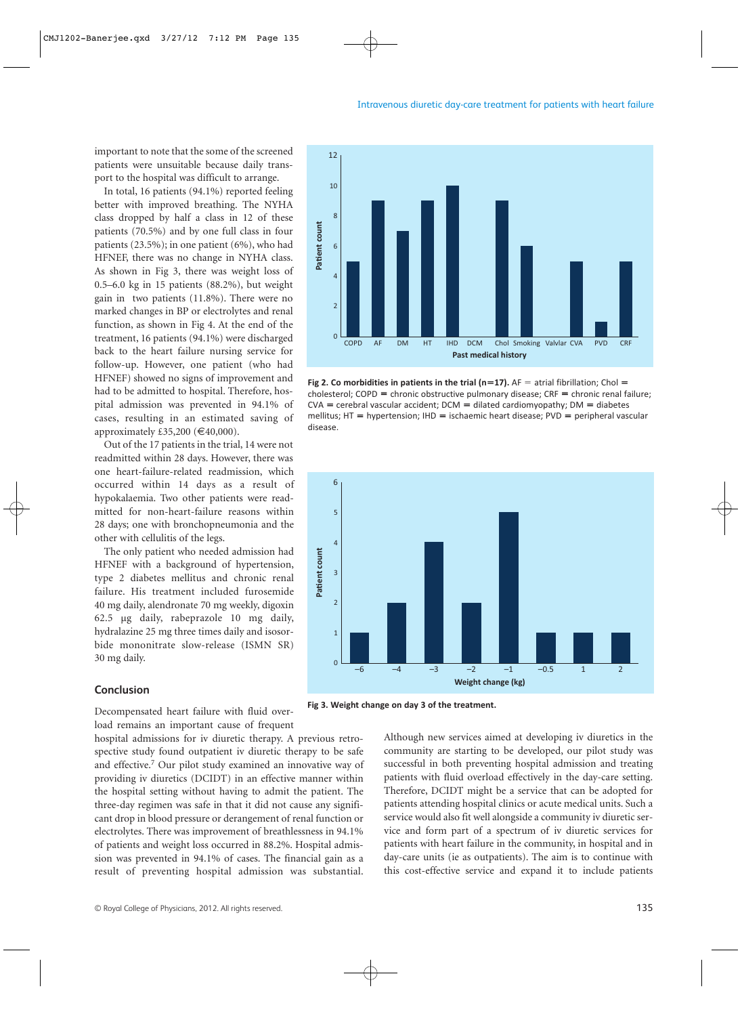important to note that the some of the screened patients were unsuitable because daily transport to the hospital was difficult to arrange.

In total, 16 patients (94.1%) reported feeling better with improved breathing. The NYHA class dropped by half a class in 12 of these patients (70.5%) and by one full class in four patients (23.5%); in one patient (6%), who had HFNEF, there was no change in NYHA class. As shown in Fig 3, there was weight loss of 0.5–6.0 kg in 15 patients (88.2%), but weight gain in two patients (11.8%). There were no marked changes in BP or electrolytes and renal function, as shown in Fig 4. At the end of the treatment, 16 patients (94.1%) were discharged back to the heart failure nursing service for follow-up. However, one patient (who had HFNEF) showed no signs of improvement and had to be admitted to hospital. Therefore, hospital admission was prevented in 94.1% of cases, resulting in an estimated saving of approximately £35,200 ( $\in$ 40,000).

Out of the 17 patients in the trial, 14 were not readmitted within 28 days. However, there was one heart-failure-related readmission, which occurred within 14 days as a result of hypokalaemia. Two other patients were readmitted for non-heart-failure reasons within 28 days; one with bronchopneumonia and the other with cellulitis of the legs.

The only patient who needed admission had HFNEF with a background of hypertension, type 2 diabetes mellitus and chronic renal failure. His treatment included furosemide 40 mg daily, alendronate 70 mg weekly, digoxin 62.5 µg daily, rabeprazole 10 mg daily, hydralazine 25 mg three times daily and isosorbide mononitrate slow-release (ISMN SR) 30 mg daily.

## **Conclusion**



Decompensated heart failure with fluid overload remains an important cause of frequent

hospital admissions for iv diuretic therapy. A previous retrospective study found outpatient iv diuretic therapy to be safe and effective.<sup>7</sup> Our pilot study examined an innovative way of providing iv diuretics (DCIDT) in an effective manner within the hospital setting without having to admit the patient. The three-day regimen was safe in that it did not cause any significant drop in blood pressure or derangement of renal function or electrolytes. There was improvement of breathlessness in 94.1% of patients and weight loss occurred in 88.2%. Hospital admission was prevented in 94.1% of cases. The financial gain as a result of preventing hospital admission was substantial.



Fig 2. Co morbidities in patients in the trial  $(n=17)$ . AF = atrial fibrillation; Chol = cholesterol; COPD = chronic obstructive pulmonary disease; CRF = chronic renal failure;  $CVA =$  cerebral vascular accident;  $DCM =$  dilated cardiomyopathy;  $DM =$  diabetes mellitus;  $HT =$  hypertension;  $HD =$  ischaemic heart disease;  $PVD =$  peripheral vascular disease.



Although new services aimed at developing iv diuretics in the community are starting to be developed, our pilot study was successful in both preventing hospital admission and treating patients with fluid overload effectively in the day-care setting. Therefore, DCIDT might be a service that can be adopted for patients attending hospital clinics or acute medical units. Such a service would also fit well alongside a community iv diuretic service and form part of a spectrum of iv diuretic services for patients with heart failure in the community, in hospital and in day-care units (ie as outpatients). The aim is to continue with this cost-effective service and expand it to include patients